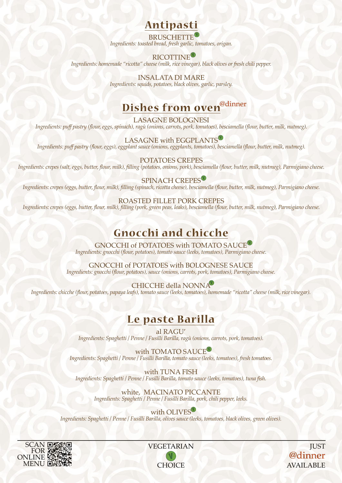## **Antipasti**

**V** BRUSCHETTE *Ingredients: toasted bread, fresh garlic, tomatoes, origan.*

### **V** RICOTTINE

*Ingredients: homemade "ricotta" cheese (milk, rice vinegar), black olives or fresh chili pepper.*

INSALATA DI MARE *Ingredients: squids, potatoes, black olives, garlic, parsley.*

# **Dishes from oven**@dinner

LASAGNE BOLOGNESI *Ingredients: puff pastry (flour, eggs, spinach), ragù (onions, carrots, pork, tomatoes), besciamella (flour, butter, milk, nutmeg).*

LASAGNE with EGGPLANTS

*Ingredients: puff pastry (flour, eggs), eggplant sauce (onions, eggplants, tomatoes), besciamella (flour, butter, milk, nutmeg).*

POTATOES CREPES

*Ingredients: crepes (salt, eggs, butter, flour, milk), filling (potatoes, onions, pork), besciamella (flour, butter, milk, nutmeg), Parmigiano cheese.*

**SPINACH CREPES** *Ingredients: crepes (eggs, butter, flour, milk), filling (spinach, ricotta cheese), besciamella (flour, butter, milk, nutmeg), Parmigiano cheese.*

ROASTED FILLET PORK CREPES *Ingredients: crepes (eggs, butter, flour, milk), filling (pork, green peas, leaks), besciamella (flour, butter, milk, nutmeg), Parmigiano cheese.*

# **Gnocchi and chicche**

GNOCCHI of POTATOES with TOMATO SAUCE *Ingredients: gnocchi (flour, potatoes), tomato sauce (leeks, tomatoes), Parmigiano cheese.*

GNOCCHI of POTATOES with BOLOGNESE SAUCE *Ingredients: gnocchi (flour, potatoes), sauce (onions, carrots, pork, tomatoes), Parmigiano cheese.*

**V** CHICCHE della NONNA *Ingredients: chicche (flour, potatoes, papaya leafs), tomato sauce (leeks, tomatoes), homemade "ricotta" cheese (milk, rice vinegar).*

## **Le paste Barilla**

al RAGU' *Ingredients: Spaghetti / Penne / Fusilli Barilla, ragù (onions, carrots, pork, tomatoes).*

with TOMATO SAUCE *Ingredients: Spaghetti / Penne / Fusilli Barilla, tomato sauce (leeks, tomatoes), fresh tomatoes.*

with TUNA FISH *Ingredients: Spaghetti / Penne / Fusilli Barilla, tomato sauce (leeks, tomatoes), tuna fish.*

white, MACINATO PICCANTE *Ingredients: Spaghetti / Penne / Fusilli Barilla, pork, chili pepper, leeks.*

with OLIVES *Ingredients: Spaghetti / Penne / Fusilli Barilla, olives sauce (leeks, tomatoes, black olives, green olives).*



**V**VEGETARIAN CHOICE

@dinner JUST AVAILABLE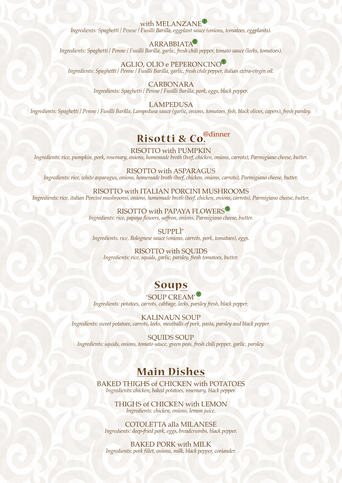with MELANZANE *Ingredients: Spaghetti / Penne / Fusilli Barilla, eggplant sauce (onions, tomatoes, eggplants).*

#### **V** ARRABBIATA

*Ingredients: Spaghetti / Penne / Fusilli Barilla, garlic, fresh chili pepper, tomato sauce (leeks, tomatoes).*

**V** AGLIO, OLIO e PEPERONCINO *Ingredients: Spaghetti / Penne / Fusilli Barilla, garlic, fresh chili pepper, italian extra-virgin oil.*

> CARBONARA *Ingredients: Spaghetti / Penne / Fusilli Barilla, pork, eggs, black pepper.*

LAMPEDUSA *Ingredients: Spaghetti / Penne / Fusilli Barilla, Lampedusa sauce (garlic, onions, tomatoes, fish, black olives, capers), fresh parsley.*

# Risotti & Co.<sup>@dinner</sup>

RISOTTO with PUMPKIN

*Ingredients: rice, pumpkin, pork, rosemary, onions, homemade broth (beef, chicken, onions, carrots), Parmigiano cheese, butter.*

RISOTTO with ASPARAGUS *Ingredients: rice, white asparagus, onions, homemade broth (beef, chicken, onions, carrots), Parmigiano cheese, butter.*

RISOTTO with ITALIAN PORCINI MUSHROOMS *Ingredients: rice, italian Porcini mushrooms, onions, homemade broth (beef, chicken, onions, carrots), Parmigiano cheese, butter.*

#### RISOTTO with PAPAYA FLOWERS

*Ingredients: rice, papaya flowers, saffron, onions, Parmigiano cheese, butter.*

SUPPLÌ'

*Ingredients: rice, Bolognese sauce (onions, carrots, pork, tomatoes), eggs.*

#### RISOTTO with SQUIDS

*Ingredients: rice, squids, garlic, parsley, fresh tomatoes, butter.*

## **Soups**

## **V** 'SOUP CREAM'

*Ingredients: potatoes, carrots, cabbage, leeks, parsley fresh, black pepper.*

KALINAUN SOUP *Ingredients: sweet potatoes, carrots, leeks, meatballs of pork, pasta, parsley and black pepper.*

SOUIDS SOUP *Ingredients: squids, onions, tomato sauce, green peas, fresh chili pepper, garlic, parsley.*

## **Main Dishes**

BAKED THIGHS of CHICKEN with POTATOES *Ingredients: chicken, baked potatoes, rosemary, black pepper.*

> THIGHS of CHICKEN with LEMON *Ingredients: chicken, onions, lemon juice.*

COTOLETTA alla MILANESE *Ingredients: deep-fried pork, eggs, breadcrumbs, black pepper.*

BAKED PORK with MILK *Ingredients: pork fillet, onions, milk, black pepper, coriander.*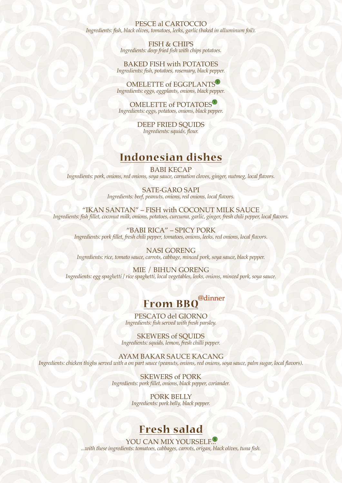#### PESCE al CARTOCCIO *Ingredients: fish, black olives, tomatoes, leeks, garlic (baked in alluminum foil).*

FISH & CHIPS *Ingredients: deep fried fish with chips potatoes.*

BAKED FISH with POTATOES *Ingredients: fish, potatoes, rosemary, black pepper.*

**V** OMELETTE of EGGPLANTS *Ingredients: eggs, eggplants, onions, black pepper.*

**V** OMELETTE of POTATOES *Ingredients: eggs, potatoes, onions, black pepper.*

> DEEP FRIED SOUIDS *Ingredients: squids, flour.*

## **Indonesian dishes**

BABI KECAP *Ingredients: pork, onions, red onions, soya sauce, carnation cloves, ginger, nutmeg, local flavors.*

> SATE-GARO SAPI *Ingredients: beef, peanuts, onions, red onions, local flavors.*

"IKAN SANTAN" – FISH with COCONUT MILK SAUCE *Ingredients: fish fillet, coconut milk, onions, potatoes, curcuma, garlic, ginger, fresh chili pepper, local flavors.*

"BABI RICA" – SPICY PORK *Ingredients: pork fillet, fresh chili pepper, tomatoes, onions, leeks, red onions, local flavors.*

NASI GORENG *Ingredients: rice, tomato sauce, carrots, cabbage, minced pork, soya sauce, black pepper.*

MIE / BIHUN GORENG *Ingredients: egg spaghetti / rice spaghetti, local vegetables, leeks, onions, minced pork, soya sauce.*

#### @dinner **From BBQ**

PESCATO del GIORNO *Ingredients: fish served with fresh parsley.*

SKEWERS of SQUIDS *Ingredients: squids, lemon, fresh chilli pepper.*

AYAM BAKAR SAUCE KACANG *Ingredients: chicken thighs served with a on part sauce (peanuts, onions, red onions, soya sauce, palm sugar, local flavors).*

> SKEWERS of PORK *Ingredients: pork fillet, onions, black pepper, coriander.*

> > PORK BELLY *Ingredients: pork belly, black pepper.*

## **Fresh salad**

**V**YOU CAN MIX YOURSELF. *...with these ingredients: tomatoes, cabbages, carrots, origan, black olives, tuna fish.*